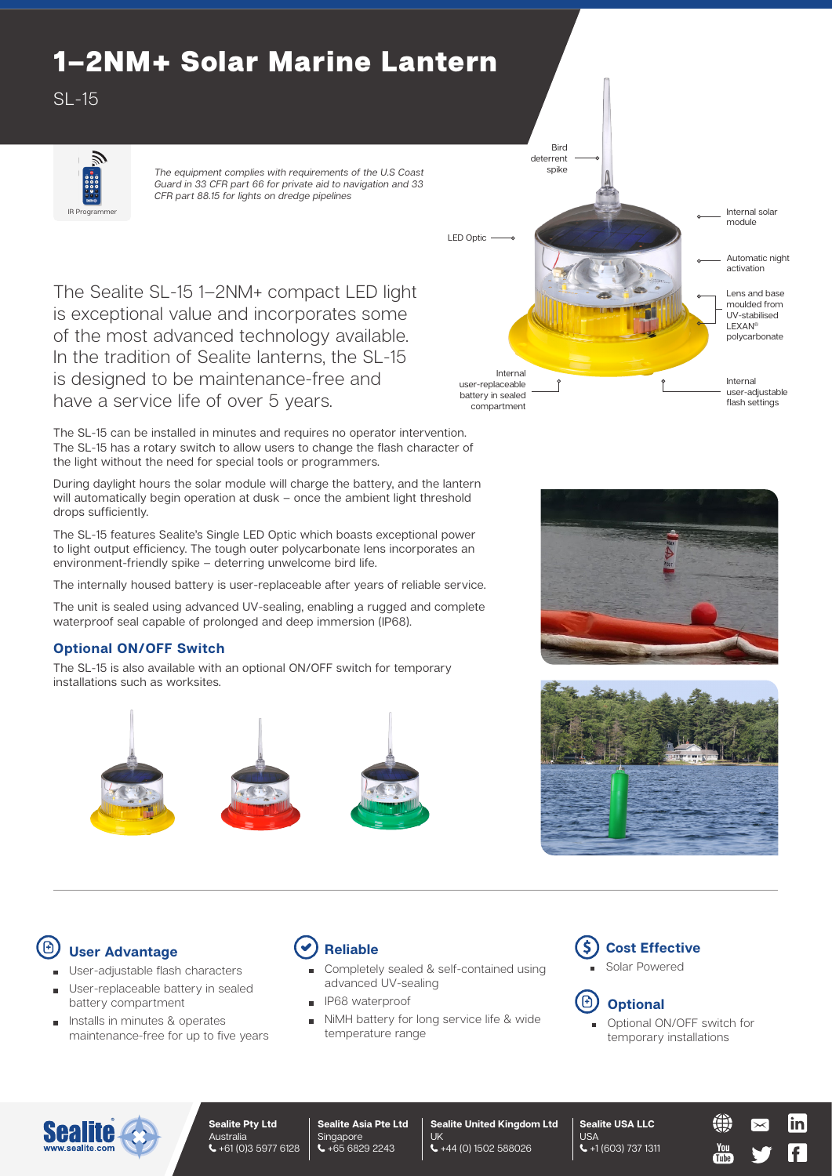# 1–2NM+ Solar Marine Lantern

SL-15



*The equipment complies with requirements of the U.S Coast Guard in 33 CFR part 66 for private aid to navigation and 33 CFR part 88.15 for lights on dredge pipelines*

The Sealite SL-15 1–2NM+ compact LED light is exceptional value and incorporates some of the most advanced technology available. In the tradition of Sealite lanterns, the SL-15 is designed to be maintenance-free and have a service life of over 5 years.

The SL-15 can be installed in minutes and requires no operator intervention. The SL-15 has a rotary switch to allow users to change the flash character of the light without the need for special tools or programmers.

During daylight hours the solar module will charge the battery, and the lantern will automatically begin operation at dusk – once the ambient light threshold drops sufficiently.

The SL-15 features Sealite's Single LED Optic which boasts exceptional power to light output efficiency. The tough outer polycarbonate lens incorporates an environment-friendly spike – deterring unwelcome bird life.

The internally housed battery is user-replaceable after years of reliable service.

The unit is sealed using advanced UV-sealing, enabling a rugged and complete waterproof seal capable of prolonged and deep immersion (IP68).

### **Optional ON/OFF Switch**

The SL-15 is also available with an optional ON/OFF switch for temporary installations such as worksites.









# **User Advantage**

- User-adjustable flash characters
- User-replaceable battery in sealed battery compartment
- Installs in minutes & operates maintenance-free for up to five years



- Completely sealed & self-contained using advanced UV-sealing
- IP68 waterproof
- NiMH battery for long service life & wide temperature range





**Sealite USA LLC**

Optional ON/OFF switch for temporary installations

You<br>Tube



#### **Sealite Pty Ltd Australia** +61 (0)3 5977 6128

**Sealite Asia Pte Ltd** Singapore +65 6829 2243

**Sealite United Kingdom Ltd** UK +44 (0) 1502 588026

USA +1 (603) 737 1311